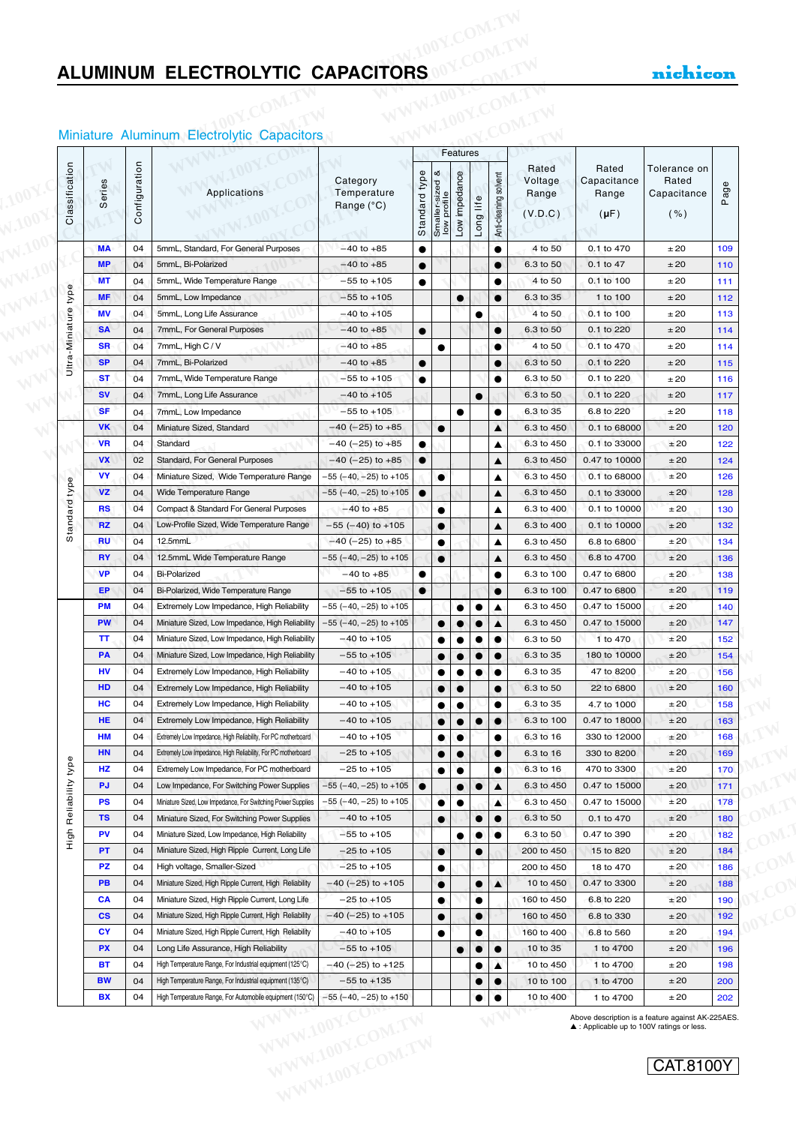#### Miniature Aluminum Electrolytic Capacitors

|                 |                        |               | Miniature Aluminum Electrolytic Capacitors                                                                 |                                                                    |               |                                | Features               |           |                       |                                      |                                            |                                              |            |
|-----------------|------------------------|---------------|------------------------------------------------------------------------------------------------------------|--------------------------------------------------------------------|---------------|--------------------------------|------------------------|-----------|-----------------------|--------------------------------------|--------------------------------------------|----------------------------------------------|------------|
| Classification  | Series                 | Configuration | Applications                                                                                               | Category<br>Temperature<br>Range (°C)                              | Standard type | Smaller-sized &<br>low profile | Low impedance          | Long life | Anti-cleaning solvent | Rated<br>Voltage<br>Range<br>(V.D.C) | Rated<br>Capacitance<br>Range<br>$(\mu F)$ | Tolerance on<br>Rated<br>Capacitance<br>( %) | Page       |
|                 | <b>MA</b>              | 04            | 5mmL, Standard, For General Purposes                                                                       | $-40$ to $+85$                                                     | $\bullet$     |                                |                        |           | $\bullet$             | 4 to 50                              | 0.1 to 470                                 | ±20                                          | 109        |
|                 | <b>MP</b>              | 04            | 5mmL, Bi-Polarized                                                                                         | $-40$ to $+85$                                                     | $\bullet$     |                                |                        |           |                       | 6.3 to 50                            | 0.1 to 47                                  | ±20                                          | 110        |
|                 | <b>MT</b>              | 04            | 5mmL, Wide Temperature Range                                                                               | $-55$ to $+105$                                                    | $\bullet$     |                                |                        |           | $\bullet$             | 4 to 50                              | 0.1 to 100                                 | ±20                                          | 111        |
| type            | <b>MF</b>              | 04            | 5mmL, Low Impedance                                                                                        | $-55$ to $+105$                                                    |               |                                | $\bullet$              |           | $\bullet$             | 6.3 to 35                            | 1 to 100                                   | ±20                                          | 112        |
| Ultra-Miniature | MV                     | 04            | 5mmL, Long Life Assurance                                                                                  | $-40$ to $+105$                                                    |               |                                |                        | $\bullet$ |                       | 4 to 50                              | 0.1 to 100                                 | ±20                                          | 113        |
|                 | <b>SA</b>              | 04            | 7mmL, For General Purposes                                                                                 | $-40$ to $+85$                                                     | $\bullet$     |                                |                        |           | $\bullet$             | 6.3 to 50                            | 0.1 to 220                                 | ±20                                          | 114        |
|                 | <b>SR</b>              | 04            | 7mmL, High C / V                                                                                           | $-40$ to $+85$                                                     |               | $\bullet$                      |                        |           | $\bullet$             | 4 to 50                              | 0.1 to 470                                 | ±20                                          | 114        |
|                 | <b>SP</b><br><b>ST</b> | 04            | 7mmL, Bi-Polarized                                                                                         | $-40$ to $+85$<br>$-55$ to $+105$                                  | $\bullet$     |                                |                        |           | $\bullet$             | 6.3 to 50<br>6.3 to 50               | 0.1 to 220                                 | ±20<br>±20                                   | 115        |
|                 | <b>SV</b>              | 04<br>04      | 7mmL, Wide Temperature Range<br>7mmL, Long Life Assurance                                                  | $-40$ to $+105$                                                    | $\bullet$     |                                |                        |           | $\bullet$             | 6.3 to 50                            | 0.1 to 220<br>0.1 to 220                   | ±20                                          | 116<br>117 |
|                 | <b>SF</b>              | 04            | 7mmL, Low Impedance                                                                                        | $-55$ to $+105$                                                    |               |                                | $\bullet$              | $\bullet$ | $\bullet$             | 6.3 to 35                            | 6.8 to 220                                 | ±20                                          | 118        |
|                 | <b>VK</b>              | 04            | Miniature Sized, Standard                                                                                  | $-40$ (-25) to +85                                                 |               | $\bullet$                      |                        |           | ▲                     | 6.3 to 450                           | 0.1 to 68000                               | ±20                                          | 120        |
|                 | <b>VR</b>              | 04            | Standard                                                                                                   | $-40$ (-25) to +85                                                 | $\bullet$     |                                |                        |           | ▲                     | 6.3 to 450                           | 0.1 to 33000                               | ±20                                          | 122        |
|                 | <b>VX</b>              | 02            | Standard, For General Purposes                                                                             | $-40$ (-25) to +85                                                 | $\bullet$     |                                |                        |           | ▲                     | 6.3 to 450                           | 0.47 to 10000                              | ±20                                          | 124        |
|                 | <b>VY</b>              | 04            | Miniature Sized, Wide Temperature Range                                                                    | $-55$ ( $-40$ , $-25$ ) to $+105$                                  |               | $\bullet$                      |                        |           | ▲                     | 6.3 to 450                           | 0.1 to 68000                               | ±20                                          | 126        |
|                 | <b>VZ</b>              | 04            | Wide Temperature Range                                                                                     | –55 (–40, –25) to +105                                             | $\bullet$     |                                |                        |           | ▲                     | 6.3 to 450                           | 0.1 to 33000                               | ±20                                          | 128        |
|                 | <b>RS</b>              | 04            | Compact & Standard For General Purposes                                                                    | $-40$ to $+85$                                                     |               | $\bullet$                      |                        |           | ▲                     | 6.3 to 400                           | 0.1 to 10000                               | ±20                                          | 130        |
| Standard type   | <b>RZ</b>              | 04            | Low-Profile Sized, Wide Temperature Range                                                                  | $-55$ (-40) to +105                                                |               | $\bullet$                      |                        |           | ▲                     | 6.3 to 400                           | 0.1 to 10000                               | ±20                                          | 132        |
|                 | <b>RU</b>              | 04            | 12.5mmL                                                                                                    | $-40$ (-25) to +85                                                 |               | $\bullet$                      |                        |           | ▲                     | 6.3 to 450                           | 6.8 to 6800                                | ±20                                          | 134        |
|                 | <b>RY</b>              | 04            | 12.5mmL Wide Temperature Range                                                                             | $-55$ ( $-40$ , $-25$ ) to $+105$                                  |               | $\bullet$                      |                        |           | ▲                     | 6.3 to 450                           | 6.8 to 4700                                | ±20                                          | 136        |
|                 | <b>VP</b>              | 04            | <b>Bi-Polarized</b>                                                                                        | $-40$ to $+85$                                                     | $\bullet$     |                                |                        |           | $\bullet$             | 6.3 to 100                           | 0.47 to 6800                               | ±20                                          | 138        |
|                 | EP                     | 04            | Bi-Polarized, Wide Temperature Range                                                                       | $-55$ to $+105$                                                    | $\bullet$     |                                |                        |           | $\bullet$             | 6.3 to 100                           | 0.47 to 6800                               | ±20                                          | 119        |
|                 | PM                     | 04            | Extremely Low Impedance, High Reliability                                                                  | $-55$ ( $-40$ , $-25$ ) to $+105$                                  |               |                                | $\bullet$              | $\bullet$ |                       | 6.3 to 450                           | 0.47 to 15000                              | $\pm 20$                                     | 140        |
|                 | <b>PW</b>              | 04            | Miniature Sized, Low Impedance, High Reliability                                                           | $-55$ ( $-40$ , $-25$ ) to $+105$                                  |               | $\bullet$                      | $\bullet$              | $\bullet$ | ▲                     | 6.3 to 450                           | 0.47 to 15000                              | ±20                                          | 147        |
|                 | TT.                    | 04            | Miniature Sized, Low Impedance, High Reliability                                                           | $-40$ to $+105$                                                    |               | $\bullet$                      | $\bullet$              | $\bullet$ | $\bullet$             | 6.3 to 50                            | 1 to 470                                   | ±20                                          | 152        |
|                 | PA                     | 04            | Miniature Sized, Low Impedance, High Reliability                                                           | $-55$ to $+105$                                                    |               | $\bullet$                      | $\bullet$              | $\bullet$ | $\bullet$             | 6.3 to 35                            | 180 to 10000                               | ±20                                          | 154        |
|                 | HV                     | 04            | Extremely Low Impedance, High Reliability                                                                  | $-40$ to $+105$                                                    |               | $\bullet$                      | $\bullet$              | $\bullet$ | $\bullet$             | 6.3 to 35                            | 47 to 8200                                 | ±20                                          | 156        |
|                 | HD                     | 04            | Extremely Low Impedance, High Reliability                                                                  | $-40$ to $+105$                                                    |               | $\bullet$                      | $\bullet$              |           | $\bullet$             | 6.3 to 50                            | 22 to 6800                                 | ±20                                          | 160        |
|                 | HС                     | 04            | Extremely Low Impedance, High Reliability                                                                  | $-40$ to $+105$                                                    |               | $\bullet$                      | $\bullet$              |           | $\bullet$             | 6.3 to 35                            | 4.7 to 1000                                | ±20                                          | 158        |
|                 | HE                     | 04<br>04      | Extremely Low Impedance, High Reliability<br>Extremely Low Impedance, High Reliability, For PC motherboard | $-40$ to $+105$<br>$-40$ to $+105$                                 |               | $\bullet$                      | $\bullet$              | $\bullet$ | $\bullet$             | 6.3 to 100                           | 0.47 to 18000                              | ±20                                          | 163        |
|                 | НM<br>HN               | 04            | Extremely Low Impedance, High Reliability, For PC motherboard                                              | $-25$ to $+105$                                                    |               | ٠                              | $\bullet$<br>$\bullet$ |           | $\bullet$             | 6.3 to 16<br>6.3 to 16               | 330 to 12000<br>330 to 8200                | ±20<br>±20                                   | 168<br>169 |
| type            | HZ                     | 04            | Extremely Low Impedance, For PC motherboard                                                                | $-25$ to $+105$                                                    |               | $\bullet$                      | $\bullet$              |           | ٠                     | 6.3 to 16                            | 470 to 3300                                | ±20                                          | 170        |
|                 | <b>PJ</b>              | 04            | Low Impedance, For Switching Power Supplies                                                                | $-55$ ( $-40$ , $-25$ ) to $+105$                                  | $\bullet$     |                                | $\bullet$              | $\bullet$ | ▲                     | 6.3 to 450                           | 0.47 to 15000                              | ±20                                          | 171        |
| Reliability     | PS                     | 04            | Miniature Sized, Low Impedance, For Switching Power Supplies                                               | −55 (−40, −25) to +105                                             |               | $\bullet$                      | $\bullet$              |           | ▲                     | 6.3 to 450                           | 0.47 to 15000                              | ±20                                          | 178        |
|                 | <b>TS</b>              | 04            | Miniature Sized, For Switching Power Supplies                                                              | $-40$ to $+105$                                                    |               | $\bullet$                      |                        | $\bullet$ | $\bullet$             | 6.3 to 50                            | 0.1 to 470                                 | ±20                                          | 180        |
| High            | PV                     | 04            | Miniature Sized, Low Impedance, High Reliability                                                           | $-55$ to $+105$                                                    |               |                                | $\bullet$              | $\bullet$ | $\bullet$             | 6.3 to 50                            | 0.47 to 390                                | ±20                                          | 182        |
|                 | PT                     | 04            | Miniature Sized, High Ripple Current, Long Life                                                            | $-25$ to $+105$                                                    |               | $\bullet$                      |                        | $\bullet$ |                       | 200 to 450                           | 15 to 820                                  | ±20                                          | 184        |
|                 | PZ                     | 04            | High voltage, Smaller-Sized                                                                                | $-25$ to $+105$                                                    |               | $\bullet$                      |                        |           |                       | 200 to 450                           | 18 to 470                                  | ±20                                          | 186        |
|                 | PB                     | 04            | Miniature Sized, High Ripple Current, High Reliability                                                     | $-40$ (-25) to +105                                                |               | $\bullet$                      |                        | $\bullet$ | ▲                     | 10 to 450                            | 0.47 to 3300                               | ±20                                          | 188        |
|                 | <b>CA</b>              | 04            | Miniature Sized, High Ripple Current, Long Life                                                            | $-25$ to $+105$                                                    |               | $\bullet$                      |                        | $\bullet$ |                       | 160 to 450                           | 6.8 to 220                                 | ±20                                          | 190        |
|                 | $\mathsf{cs}$          | 04            | Miniature Sized, High Ripple Current, High Reliability                                                     | $-40$ (-25) to +105                                                |               | $\bullet$                      |                        |           |                       | 160 to 450                           | 6.8 to 330                                 | ±20                                          | 192        |
|                 | <b>CY</b>              | 04            | Miniature Sized, High Ripple Current, High Reliability                                                     | $-40$ to $+105$                                                    |               | $\bullet$                      |                        | $\bullet$ |                       | 160 to 400                           | 6.8 to 560                                 | ±20                                          | 194        |
|                 | <b>PX</b>              | 04            | Long Life Assurance, High Reliability                                                                      | $-55$ to $+105$                                                    |               |                                | $\bullet$              |           | $\bullet$             | 10 to 35                             | 1 to 4700                                  | ±20                                          | 196        |
|                 | ВT                     | 04            | High Temperature Range, For Industrial equipment (125°C)                                                   | $-40$ (-25) to +125                                                |               |                                |                        |           | ▲                     | 10 to 450                            | 1 to 4700                                  | ±20                                          | 198        |
|                 | <b>BW</b>              | 04            | High Temperature Range, For Industrial equipment (135°C)                                                   | $-55$ to $+135$                                                    |               |                                |                        |           | $\bullet$             | 10 to 100                            | 1 to 4700                                  | ±20                                          | 200        |
|                 | BX                     | 04            | High Temperature Range, For Automobile equipment (150°C)                                                   | $-55$ ( $-40$ , $-25$ ) to $+150$<br>WW.100Y.CO<br>WWW.100Y.COM.TW |               |                                |                        | $\bullet$ | $\bullet$             | 10 to 400                            | 1 to 4700                                  | ±20                                          | 202        |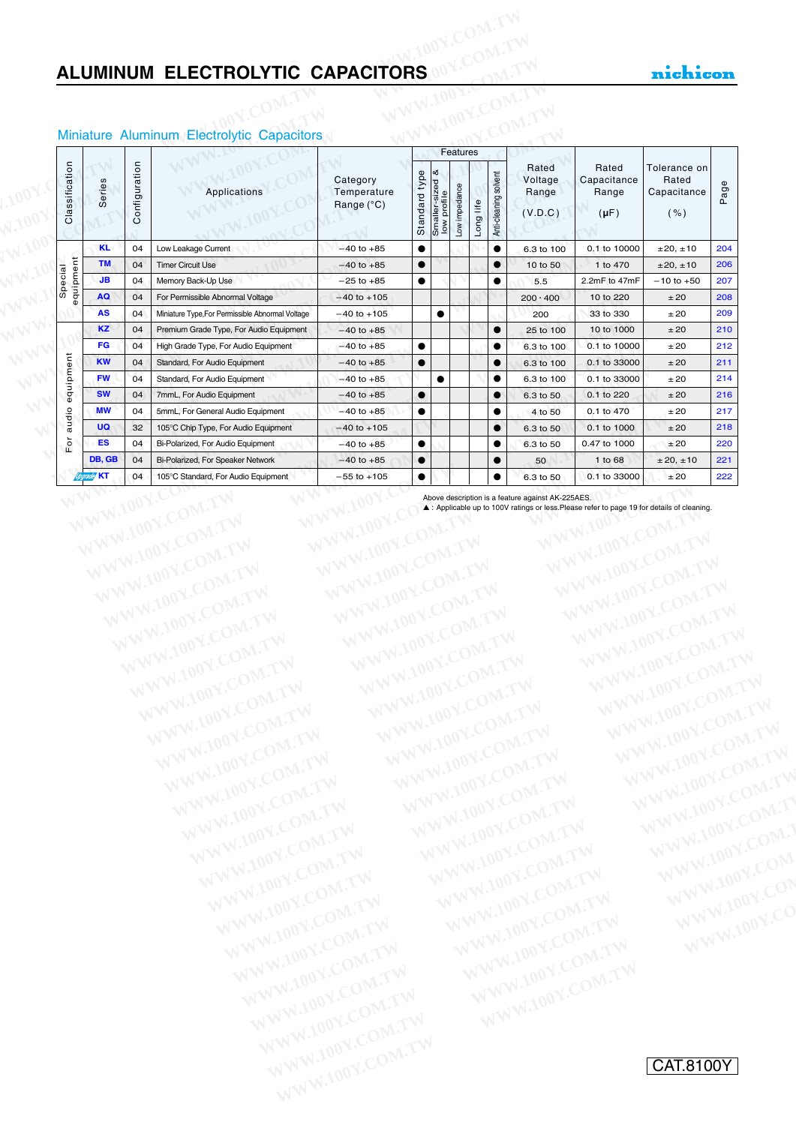|                      |        |           |               | Miniature Aluminum Electrolytic Capacitors       |                                       |               |                                       | Features      |           |                       |                                      |                                            |                                              |      |
|----------------------|--------|-----------|---------------|--------------------------------------------------|---------------------------------------|---------------|---------------------------------------|---------------|-----------|-----------------------|--------------------------------------|--------------------------------------------|----------------------------------------------|------|
| Classification       | Series |           | Configuration | <b>Applications</b>                              | Category<br>Temperature<br>Range (°C) | Standard type | ∣∞ర<br>Smaller-sized &<br>low profile | Low impedance | Long life | Anti-cleaning solvent | Rated<br>Voltage<br>Range<br>(V.D.C) | Rated<br>Capacitance<br>Range<br>$(\mu F)$ | Tolerance on<br>Rated<br>Capacitance<br>( %) | Page |
|                      |        | <b>KL</b> | 04            | Low Leakage Current                              | $-40$ to $+85$                        | $\bullet$     |                                       |               |           | $\bullet$             | 6.3 to 100                           | 0.1 to 10000                               | ±20, ±10                                     | 204  |
|                      |        | <b>TM</b> | 04            | <b>Timer Circuit Use</b>                         | $-40$ to $+85$                        | $\bullet$     |                                       |               |           | $\bullet$             | 10 to 50                             | 1 to 470                                   | ±20, ±10                                     | 206  |
| equipment<br>Special |        | <b>JB</b> | 04            | Memory Back-Up Use                               | $-25$ to $+85$                        | $\bullet$     |                                       |               |           | $\bullet$             | 5.5                                  | 2.2mF to 47mF                              | $-10$ to $+50$                               | 207  |
|                      |        | AQ        | 04            | For Permissible Abnormal Voltage                 | $-40$ to $+105$                       |               |                                       |               |           |                       | $200 \cdot 400$                      | 10 to 220                                  | ±20                                          | 208  |
|                      |        | <b>AS</b> | 04            | Miniature Type, For Permissible Abnormal Voltage | $-40$ to $+105$                       |               | $\bullet$                             |               |           |                       | 200                                  | 33 to 330                                  | ±20                                          | 209  |
|                      |        | <b>KZ</b> | 04            | Premium Grade Type, For Audio Equipment          | $-40$ to $+85$                        |               |                                       |               |           | $\bullet$             | 25 to 100                            | 10 to 1000                                 | ±20                                          | 210  |
|                      |        | FG        | 04            | High Grade Type, For Audio Equipment             | $-40$ to $+85$                        | $\bullet$     |                                       |               |           | $\bullet$             | 6.3 to 100                           | 0.1 to 10000                               | ±20                                          | 212  |
|                      |        | <b>KW</b> | 04            | Standard, For Audio Equipment                    | $-40$ to $+85$                        | $\bullet$     |                                       |               |           | $\bullet$             | 6.3 to 100                           | 0.1 to 33000                               | ±20                                          | 211  |
|                      |        | <b>FW</b> | 04            | Standard, For Audio Equipment                    | $-40$ to $+85$                        |               | $\bullet$                             |               |           | $\bullet$             | 6.3 to 100                           | 0.1 to 33000                               | ±20                                          | 214  |
| equipment            |        | <b>SW</b> | 04            | 7mmL, For Audio Equipment                        | $-40$ to $+85$                        | $\bullet$     |                                       |               |           | $\bullet$             | 6.3 to 50                            | 0.1 to 220                                 | ±20                                          | 216  |
|                      |        | <b>MW</b> | 04            | 5mmL, For General Audio Equipment                | $-40$ to $+85$                        | $\bullet$     |                                       |               |           | $\bullet$             | 4 to 50                              | 0.1 to 470                                 | ±20                                          | 217  |
| audio                |        | <b>UQ</b> | 32            | 105°C Chip Type, For Audio Equipment             | $-40$ to $+105$                       |               |                                       |               |           | $\bullet$             | 6.3 to 50                            | 0.1 to 1000                                | ±20                                          | 218  |
| $\mathsf{For}$       |        | ES        | 04            | Bi-Polarized, For Audio Equipment                | $-40$ to $+85$                        | $\bullet$     |                                       |               |           | $\bullet$             | 6.3 to 50                            | 0.47 to 1000                               | ±20                                          | 220  |
|                      |        | DB, GB    | 04            | Bi-Polarized, For Speaker Network                | $-40$ to $+85$                        | $\bullet$     |                                       |               |           |                       | 50                                   | 1 to 68                                    | ± 20, ±10                                    | 221  |
|                      | KT     |           | 04            | 105°C Standard, For Audio Equipment              | $-55$ to $+105$                       | $\bullet$     |                                       |               |           | $\bullet$             | 6.3 to 50                            | 0.1 to 33000                               | ±20                                          | 222  |

#### Miniature Aluminum Electrolytic Capacitors

WWW.100Y.COM.TW WWW.100Y.COM.TW WWW.100Y.COM.TW WWW.100Y.COM.TW WWW.100Y.COM.TW WWW.100Y.COM.TW WWW.100Y.COM.TW WWW.100Y.COM.TW WWW.100Y.COM.TW WWW.100Y.COM.TW WWW.100Y.COM.TW WWW.100Y.COM.TW WWW.100Y.COM.TW WWW.100Y.COM.T

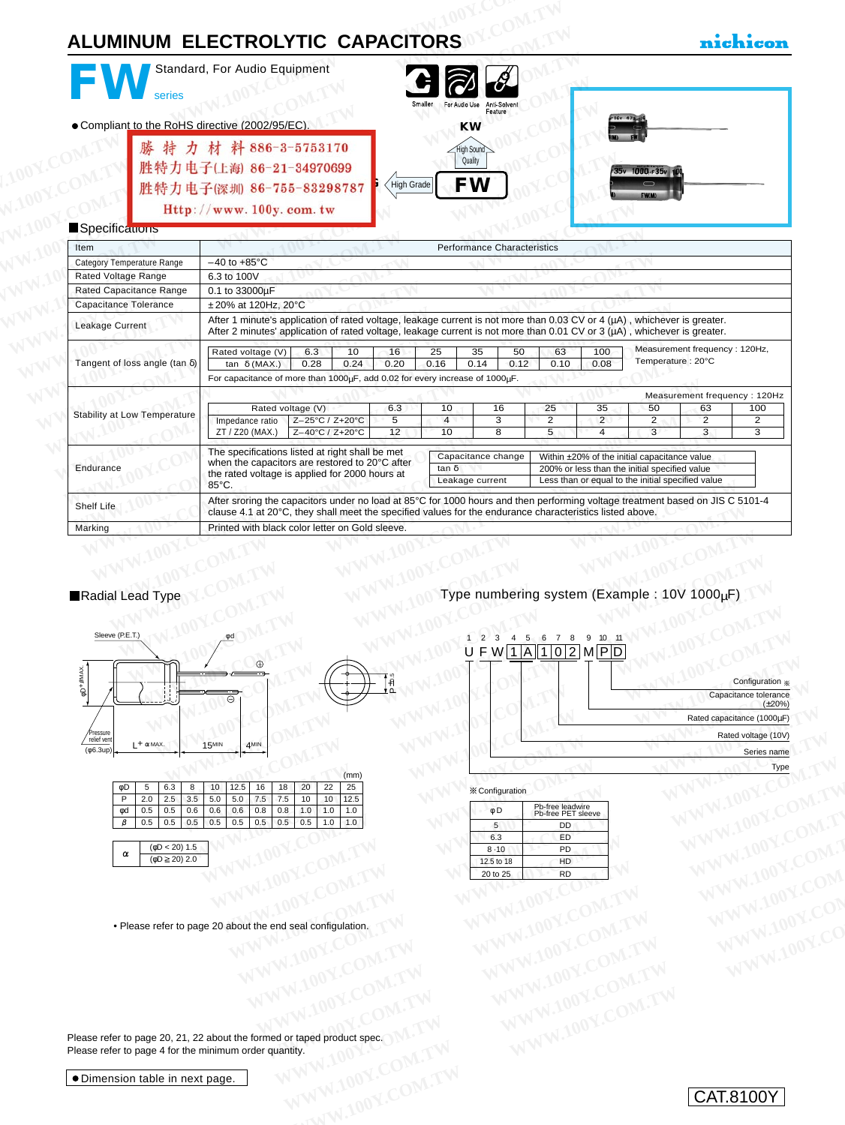| series                                         | Standard, For Audio Equipment                                                                                                                                                                                                                              |                 |                |                 |                                         |            |                |                |                                                                                                                                                    |                               |                                         |
|------------------------------------------------|------------------------------------------------------------------------------------------------------------------------------------------------------------------------------------------------------------------------------------------------------------|-----------------|----------------|-----------------|-----------------------------------------|------------|----------------|----------------|----------------------------------------------------------------------------------------------------------------------------------------------------|-------------------------------|-----------------------------------------|
|                                                |                                                                                                                                                                                                                                                            |                 |                |                 | For Audio Use<br>Anti-Solven<br>Feature |            |                |                |                                                                                                                                                    |                               |                                         |
| • Compliant to the RoHS directive (2002/95/EC) |                                                                                                                                                                                                                                                            |                 |                |                 | <b>KW</b>                               |            |                |                |                                                                                                                                                    |                               |                                         |
|                                                | 特力材料886-3-5753170<br>胜特力电子(上海) 86-21-34970699<br>胜特力电子(深圳 86-755-83298787                                                                                                                                                                                  |                 | High Grade     |                 | ligh Sound<br>Quality<br>FW             |            |                |                | 000 <sub>uF</sub> 35v                                                                                                                              |                               |                                         |
|                                                | Http://www.100y.com.tw                                                                                                                                                                                                                                     |                 |                |                 |                                         |            |                |                |                                                                                                                                                    |                               |                                         |
| Specifications                                 |                                                                                                                                                                                                                                                            |                 |                |                 |                                         |            |                |                |                                                                                                                                                    |                               |                                         |
| Item                                           |                                                                                                                                                                                                                                                            |                 |                |                 | <b>Performance Characteristics</b>      |            |                |                |                                                                                                                                                    |                               |                                         |
| <b>Category Temperature Range</b>              | $-40$ to $+85^{\circ}$ C                                                                                                                                                                                                                                   |                 |                |                 |                                         |            |                |                |                                                                                                                                                    |                               |                                         |
| Rated Voltage Range                            | 6.3 to 100V                                                                                                                                                                                                                                                |                 |                |                 |                                         |            |                |                |                                                                                                                                                    |                               |                                         |
| <b>Rated Capacitance Range</b>                 | 0.1 to 33000µF                                                                                                                                                                                                                                             |                 |                |                 |                                         |            |                |                |                                                                                                                                                    |                               |                                         |
| Capacitance Tolerance                          | ±20% at 120Hz, 20°C                                                                                                                                                                                                                                        |                 |                |                 |                                         |            |                |                |                                                                                                                                                    |                               |                                         |
| Leakage Current                                | After 1 minute's application of rated voltage, leakage current is not more than 0.03 CV or 4 ( $\mu$ A), whichever is greater.<br>After 2 minutes' application of rated voltage, leakage current is not more than 0.01 CV or 3 (µA), whichever is greater. |                 |                |                 |                                         |            |                |                |                                                                                                                                                    |                               |                                         |
|                                                | Rated voltage (V)                                                                                                                                                                                                                                          | 6.3<br>10       | 16<br>0.20     | 25<br>0.16      | 35<br>0.14                              | 50<br>0.12 | 63<br>0.10     | 100<br>0.08    | Temperature: 20°C                                                                                                                                  | Measurement frequency: 120Hz, |                                         |
| Tangent of loss angle (tan $\delta$ )          | tan $\delta$ (MAX.)                                                                                                                                                                                                                                        | 0.28<br>0.24    |                |                 |                                         |            |                |                |                                                                                                                                                    |                               |                                         |
|                                                | For capacitance of more than 1000uF, add 0.02 for every increase of 1000uF.                                                                                                                                                                                |                 |                |                 |                                         |            |                |                |                                                                                                                                                    |                               |                                         |
|                                                |                                                                                                                                                                                                                                                            |                 |                |                 |                                         |            |                |                |                                                                                                                                                    | Measurement frequency: 120Hz  |                                         |
|                                                | Rated voltage (V)                                                                                                                                                                                                                                          |                 | 6.3            | 10              | 16                                      |            | 25             | 35             | 50                                                                                                                                                 | 63                            |                                         |
| <b>Stability at Low Temperature</b>            | Impedance ratio                                                                                                                                                                                                                                            | Z-25°C / Z+20°C | $\overline{5}$ | $\overline{4}$  | $\overline{3}$                          |            | $\overline{2}$ | $\overline{2}$ | $\overline{2}$                                                                                                                                     | $\overline{2}$                |                                         |
|                                                | ZT / Z20 (MAX.)                                                                                                                                                                                                                                            | Z-40°C / Z+20°C | 12             | $\overline{10}$ | $\overline{8}$                          |            | $\overline{5}$ | $\overline{4}$ | $\overline{3}$                                                                                                                                     | $\overline{3}$                |                                         |
| Endurance                                      | The specifications listed at right shall be met<br>when the capacitors are restored to 20°C after<br>the rated voltage is applied for 2000 hours at<br>85°C.                                                                                               |                 |                | tan δ           | Capacitance change<br>Leakage current   |            |                |                | Within ±20% of the initial capacitance value<br>200% or less than the initial specified value<br>Less than or equal to the initial specified value |                               | 100<br>$\overline{2}$<br>$\overline{3}$ |
| Shelf Life                                     | After sroring the capacitors under no load at 85°C for 1000 hours and then performing voltage treatment based on JIS C 5101-4<br>clause 4.1 at 20°C, they shall meet the specified values for the endurance characteristics listed above.                  |                 |                |                 |                                         |            |                |                |                                                                                                                                                    |                               |                                         |



|     |     |     |     |       |  |                   |                                                           | (mm)                                                                    |
|-----|-----|-----|-----|-------|--|-------------------|-----------------------------------------------------------|-------------------------------------------------------------------------|
| 5   |     |     |     |       |  |                   |                                                           | 25                                                                      |
|     |     |     |     |       |  |                   | 10                                                        | 12.5                                                                    |
|     | 0.5 |     |     |       |  |                   |                                                           | 1.0                                                                     |
| 0.5 | 0.5 | 0.5 |     |       |  |                   |                                                           |                                                                         |
|     |     |     | 6.3 | $8 -$ |  | $0.6$ 0.6 0.6 0.8 | $2.5$ 3.5 5.0 5.0 7.5 7.5<br>$0.8 -$<br>$0.5$ 0.5 0.5 0.5 | 10   12.5   16   18   20   22  <br>$10-1$<br>$1.0$ 1.0<br>$0.5$ 1.0 1.0 |

(φD < 20) 1.5  $\alpha$  $(φD ≥ 20)$  2.0

• Please refer to page 20 about the end seal configulation.



|                 |     |                 |     |     | (mm)                             |                             |   |                        |                                        |  | Type |           |
|-----------------|-----|-----------------|-----|-----|----------------------------------|-----------------------------|---|------------------------|----------------------------------------|--|------|-----------|
| $\frac{1.5}{2}$ | 16  | 18              | 20  | 22  | 25                               |                             |   |                        |                                        |  |      |           |
| $\overline{0}$  | 7.5 | 7.5             | 10  | 10  | 12.5                             |                             |   | <b>X</b> Configuration |                                        |  |      |           |
| $6 \overline{}$ | 0.8 | 0.8             | 1.0 | 1.0 | 1.0                              |                             |   | $\phi$ D               | Pb-free leadwire<br>Pb-free PET sleeve |  |      |           |
| $\overline{5}$  | 0.5 | 0.5             | 0.5 | 1.0 | 1.0                              |                             |   | 5                      | DD                                     |  |      |           |
|                 |     |                 |     |     |                                  |                             |   | 6.3                    | ED                                     |  |      |           |
|                 |     |                 |     |     |                                  |                             | W | 8.10                   | PD                                     |  |      |           |
|                 |     |                 |     |     |                                  |                             |   | 12.5 to 18             | HD                                     |  |      |           |
|                 |     |                 |     |     |                                  |                             |   | 20 to 25               | <b>RD</b>                              |  |      |           |
|                 |     |                 |     |     |                                  |                             |   |                        |                                        |  |      |           |
|                 |     |                 |     |     | out the end seal configulation.  |                             |   |                        |                                        |  |      | $\cdot$ O |
|                 |     |                 |     |     | he formed or taped product spec. |                             |   |                        |                                        |  |      |           |
|                 |     | order quantity. |     |     | $m_{t}$                          | $\sim$ $\sim$ $\sim$ $\sim$ |   |                        |                                        |  |      |           |

Please refer to page 20, 21, 22 about the formed or taped product spec. Please refer to page 4 for the minimum order quantity. **WWW.100Y.COM.TW WWW.100Y.COM.TW COMAND COMAND WWW.100Y.COMAND WWW.100Y.COM**<br> **WWW.100Y.COM.TW WWW.100Y.COM.TW WWW.100Y.COM**<br>
WWW.100Y.COM.TW WWW.100Y.COM.TW WWW.100Y.COM<br>
WW.100Y.COM.TW WWW.100Y.COM.TW WWW.100Y.COM.TW<br>
CO **Exampled product spec ONLTW WWW.100Y.COM.TW WWW.100Y.COM.TW WWW.100Y.COM.TW WWW.100Y.COM.TW WWW.100Y.COM.TW WWW.100Y.COM.TW WWW.100Y.COM.TW WWW.100Y.COM.TW WWW.100Y.COM.TW WWW.100Y.COM.TW WWW.100Y.COM.TW WWW.100Y.COM.TW W** 

### CAT.8100Y